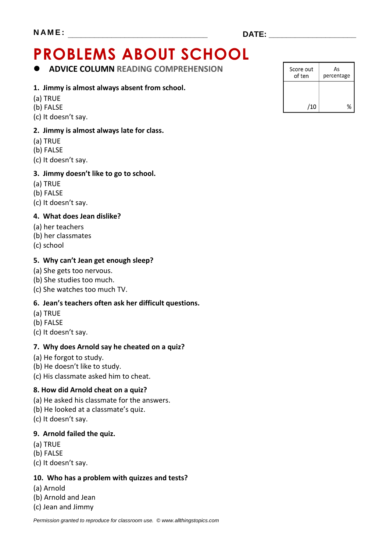# **PROBLEMS ABOUT SCHOOL**

**ADVICE COLUMN READING COMPREHENSION**

#### **1. Jimmy is almost always absent from school.**

- (a) TRUE
- (b) FALSE
- (c) It doesn't say.

#### **2. Jimmy is almost always late for class.**

- (a) TRUE
- (b) FALSE
- (c) It doesn't say.

#### **3. Jimmy doesn't like to go to school.**

- (a) TRUE
- (b) FALSE
- (c) It doesn't say.

#### **4. What does Jean dislike?**

- (a) her teachers
- (b) her classmates
- (c) school

#### **5. Why can't Jean get enough sleep?**

- (a) She gets too nervous.
- (b) She studies too much.
- (c) She watches too much TV.

#### **6. Jean's teachers often ask her difficult questions.**

- (a) TRUE
- (b) FALSE
- (c) It doesn't say.

#### **7. Why does Arnold say he cheated on a quiz?**

- (a) He forgot to study.
- (b) He doesn't like to study.
- (c) His classmate asked him to cheat.

#### **8. How did Arnold cheat on a quiz?**

- (a) He asked his classmate for the answers.
- (b) He looked at a classmate's quiz.
- (c) It doesn't say.

#### **9. Arnold failed the quiz.**

- (a) TRUE
- (b) FALSE
- (c) It doesn't say.

#### **10. Who has a problem with quizzes and tests?**

- (a) Arnold
- (b) Arnold and Jean
- (c) Jean and Jimmy

| Score out<br>of ten | As<br>percentage |
|---------------------|------------------|
|                     |                  |
| /10                 |                  |